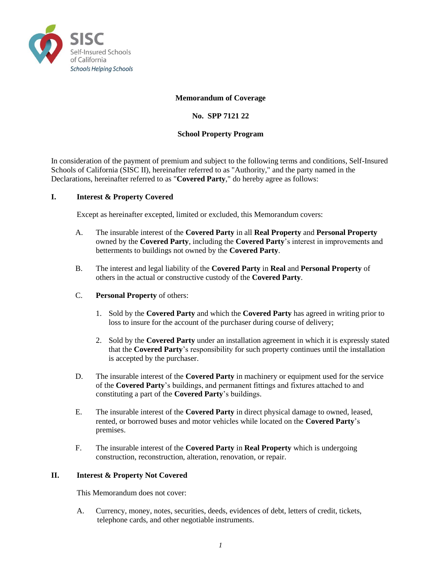

# **Memorandum of Coverage**

# **No. SPP 7121 22**

## **School Property Program**

In consideration of the payment of premium and subject to the following terms and conditions, Self-Insured Schools of California (SISC II), hereinafter referred to as "Authority," and the party named in the Declarations, hereinafter referred to as "**Covered Party**," do hereby agree as follows:

# **I. Interest & Property Covered**

Except as hereinafter excepted, limited or excluded, this Memorandum covers:

- A. The insurable interest of the **Covered Party** in all **Real Property** and **Personal Property** owned by the **Covered Party**, including the **Covered Party**'s interest in improvements and betterments to buildings not owned by the **Covered Party**.
- B. The interest and legal liability of the **Covered Party** in **Real** and **Personal Property** of others in the actual or constructive custody of the **Covered Party**.
- C. **Personal Property** of others:
	- 1. Sold by the **Covered Party** and which the **Covered Party** has agreed in writing prior to loss to insure for the account of the purchaser during course of delivery;
	- 2. Sold by the **Covered Party** under an installation agreement in which it is expressly stated that the **Covered Party**'s responsibility for such property continues until the installation is accepted by the purchaser.
- D. The insurable interest of the **Covered Party** in machinery or equipment used for the service of the **Covered Party**'s buildings, and permanent fittings and fixtures attached to and constituting a part of the **Covered Party**'s buildings.
- E. The insurable interest of the **Covered Party** in direct physical damage to owned, leased, rented, or borrowed buses and motor vehicles while located on the **Covered Party**'s premises.
- F. The insurable interest of the **Covered Party** in **Real Property** which is undergoing construction, reconstruction, alteration, renovation, or repair.

#### **II. Interest & Property Not Covered**

This Memorandum does not cover:

A. Currency, money, notes, securities, deeds, evidences of debt, letters of credit, tickets, telephone cards, and other negotiable instruments.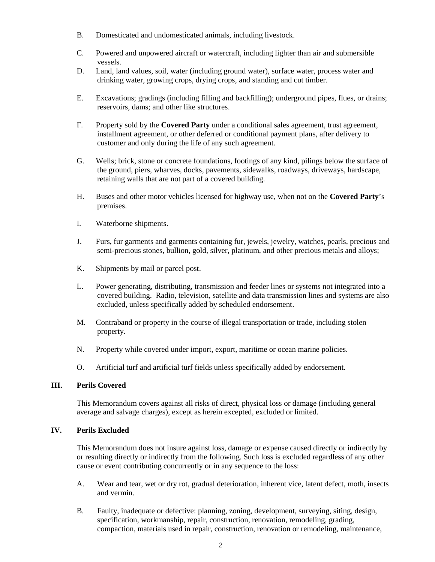- B. Domesticated and undomesticated animals, including livestock.
- C. Powered and unpowered aircraft or watercraft, including lighter than air and submersible vessels.
- D. Land, land values, soil, water (including ground water), surface water, process water and drinking water, growing crops, drying crops, and standing and cut timber.
- E. Excavations; gradings (including filling and backfilling); underground pipes, flues, or drains; reservoirs, dams; and other like structures.
- F. Property sold by the **Covered Party** under a conditional sales agreement, trust agreement, installment agreement, or other deferred or conditional payment plans, after delivery to customer and only during the life of any such agreement.
- G. Wells; brick, stone or concrete foundations, footings of any kind, pilings below the surface of the ground, piers, wharves, docks, pavements, sidewalks, roadways, driveways, hardscape, retaining walls that are not part of a covered building.
- H. Buses and other motor vehicles licensed for highway use, when not on the **Covered Party**'s premises.
- I. Waterborne shipments.
- J. Furs, fur garments and garments containing fur, jewels, jewelry, watches, pearls, precious and semi-precious stones, bullion, gold, silver, platinum, and other precious metals and alloys;
- K. Shipments by mail or parcel post.
- L. Power generating, distributing, transmission and feeder lines or systems not integrated into a covered building. Radio, television, satellite and data transmission lines and systems are also excluded, unless specifically added by scheduled endorsement.
- M. Contraband or property in the course of illegal transportation or trade, including stolen property.
- N. Property while covered under import, export, maritime or ocean marine policies.
- O. Artificial turf and artificial turf fields unless specifically added by endorsement.

# **III. Perils Covered**

This Memorandum covers against all risks of direct, physical loss or damage (including general average and salvage charges), except as herein excepted, excluded or limited.

# **IV. Perils Excluded**

This Memorandum does not insure against loss, damage or expense caused directly or indirectly by or resulting directly or indirectly from the following. Such loss is excluded regardless of any other cause or event contributing concurrently or in any sequence to the loss:

- A. Wear and tear, wet or dry rot, gradual deterioration, inherent vice, latent defect, moth, insects and vermin.
- B. Faulty, inadequate or defective: planning, zoning, development, surveying, siting, design, specification, workmanship, repair, construction, renovation, remodeling, grading, compaction, materials used in repair, construction, renovation or remodeling, maintenance,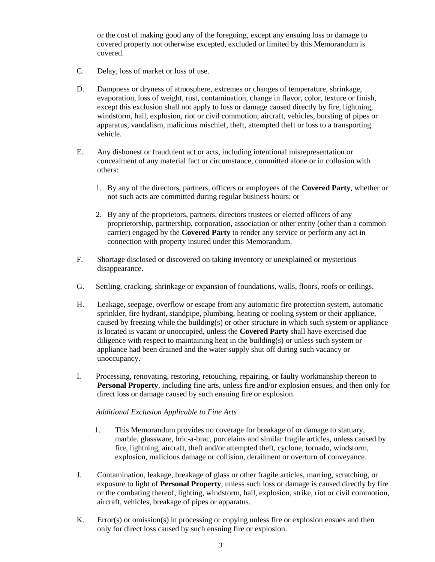or the cost of making good any of the foregoing, except any ensuing loss or damage to covered property not otherwise excepted, excluded or limited by this Memorandum is covered.

- C. Delay, loss of market or loss of use.
- D. Dampness or dryness of atmosphere, extremes or changes of temperature, shrinkage, evaporation, loss of weight, rust, contamination, change in flavor, color, texture or finish, except this exclusion shall not apply to loss or damage caused directly by fire, lightning, windstorm, hail, explosion, riot or civil commotion, aircraft, vehicles, bursting of pipes or apparatus, vandalism, malicious mischief, theft, attempted theft or loss to a transporting vehicle.
- E. Any dishonest or fraudulent act or acts, including intentional misrepresentation or concealment of any material fact or circumstance, committed alone or in collusion with others:
	- 1. By any of the directors, partners, officers or employees of the **Covered Party**, whether or not such acts are committed during regular business hours; or
	- 2. By any of the proprietors, partners, directors trustees or elected officers of any proprietorship, partnership, corporation, association or other entity (other than a common carrier) engaged by the **Covered Party** to render any service or perform any act in connection with property insured under this Memorandum.
- F. Shortage disclosed or discovered on taking inventory or unexplained or mysterious disappearance.
- G. Settling, cracking, shrinkage or expansion of foundations, walls, floors, roofs or ceilings.
- H. Leakage, seepage, overflow or escape from any automatic fire protection system, automatic sprinkler, fire hydrant, standpipe, plumbing, heating or cooling system or their appliance, caused by freezing while the building(s) or other structure in which such system or appliance is located is vacant or unoccupied, unless the **Covered Party** shall have exercised due diligence with respect to maintaining heat in the building(s) or unless such system or appliance had been drained and the water supply shut off during such vacancy or unoccupancy.
- I. Processing, renovating, restoring, retouching, repairing, or faulty workmanship thereon to **Personal Property**, including fine arts, unless fire and/or explosion ensues, and then only for direct loss or damage caused by such ensuing fire or explosion.

#### *Additional Exclusion Applicable to Fine Arts*

- 1. This Memorandum provides no coverage for breakage of or damage to statuary, marble, glassware, bric-a-brac, porcelains and similar fragile articles, unless caused by fire, lightning, aircraft, theft and/or attempted theft, cyclone, tornado, windstorm, explosion, malicious damage or collision, derailment or overturn of conveyance.
- J. Contamination, leakage, breakage of glass or other fragile articles, marring, scratching, or exposure to light of **Personal Property**, unless such loss or damage is caused directly by fire or the combating thereof, lighting, windstorm, hail, explosion, strike, riot or civil commotion, aircraft, vehicles, breakage of pipes or apparatus.
- K. Error(s) or omission(s) in processing or copying unless fire or explosion ensues and then only for direct loss caused by such ensuing fire or explosion.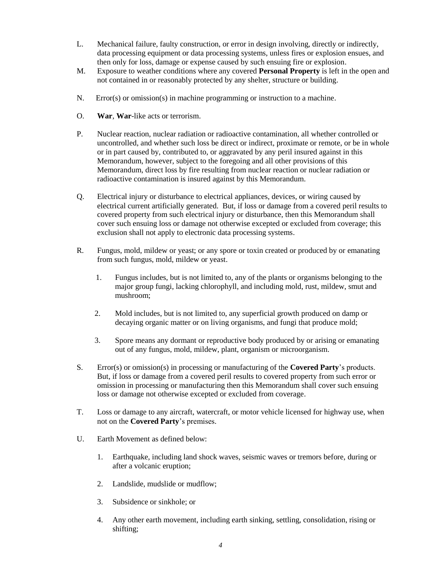- L. Mechanical failure, faulty construction, or error in design involving, directly or indirectly, data processing equipment or data processing systems, unless fires or explosion ensues, and then only for loss, damage or expense caused by such ensuing fire or explosion.
- M. Exposure to weather conditions where any covered **Personal Property** is left in the open and not contained in or reasonably protected by any shelter, structure or building.
- N. Error(s) or omission(s) in machine programming or instruction to a machine.
- O. **War**, **War**-like acts or terrorism.
- P. Nuclear reaction, nuclear radiation or radioactive contamination, all whether controlled or uncontrolled, and whether such loss be direct or indirect, proximate or remote, or be in whole or in part caused by, contributed to, or aggravated by any peril insured against in this Memorandum, however, subject to the foregoing and all other provisions of this Memorandum, direct loss by fire resulting from nuclear reaction or nuclear radiation or radioactive contamination is insured against by this Memorandum.
- Q. Electrical injury or disturbance to electrical appliances, devices, or wiring caused by electrical current artificially generated. But, if loss or damage from a covered peril results to covered property from such electrical injury or disturbance, then this Memorandum shall cover such ensuing loss or damage not otherwise excepted or excluded from coverage; this exclusion shall not apply to electronic data processing systems.
- R. Fungus, mold, mildew or yeast; or any spore or toxin created or produced by or emanating from such fungus, mold, mildew or yeast.
	- 1. Fungus includes, but is not limited to, any of the plants or organisms belonging to the major group fungi, lacking chlorophyll, and including mold, rust, mildew, smut and mushroom;
	- 2. Mold includes, but is not limited to, any superficial growth produced on damp or decaying organic matter or on living organisms, and fungi that produce mold;
	- 3. Spore means any dormant or reproductive body produced by or arising or emanating out of any fungus, mold, mildew, plant, organism or microorganism.
- S. Error(s) or omission(s) in processing or manufacturing of the **Covered Party**'s products. But, if loss or damage from a covered peril results to covered property from such error or omission in processing or manufacturing then this Memorandum shall cover such ensuing loss or damage not otherwise excepted or excluded from coverage.
- T. Loss or damage to any aircraft, watercraft, or motor vehicle licensed for highway use, when not on the **Covered Party**'s premises.
- U. Earth Movement as defined below:
	- 1. Earthquake, including land shock waves, seismic waves or tremors before, during or after a volcanic eruption;
	- 2. Landslide, mudslide or mudflow;
	- 3. Subsidence or sinkhole; or
	- 4. Any other earth movement, including earth sinking, settling, consolidation, rising or shifting;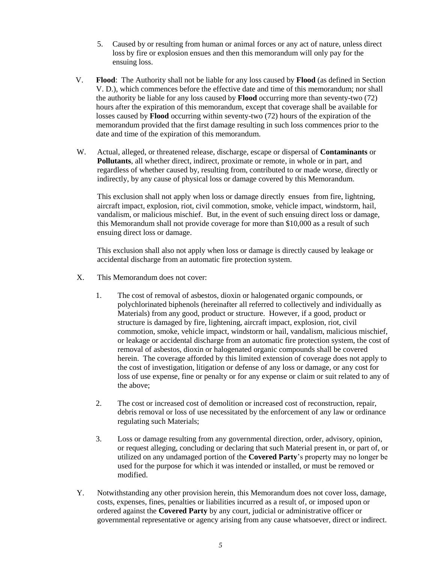- 5. Caused by or resulting from human or animal forces or any act of nature, unless direct loss by fire or explosion ensues and then this memorandum will only pay for the ensuing loss.
- V. **Flood**: The Authority shall not be liable for any loss caused by **Flood** (as defined in Section V. D.), which commences before the effective date and time of this memorandum; nor shall the authority be liable for any loss caused by **Flood** occurring more than seventy-two (72) hours after the expiration of this memorandum, except that coverage shall be available for losses caused by **Flood** occurring within seventy-two (72) hours of the expiration of the memorandum provided that the first damage resulting in such loss commences prior to the date and time of the expiration of this memorandum.
- W. Actual, alleged, or threatened release, discharge, escape or dispersal of **Contaminants** or **Pollutants**, all whether direct, indirect, proximate or remote, in whole or in part, and regardless of whether caused by, resulting from, contributed to or made worse, directly or indirectly, by any cause of physical loss or damage covered by this Memorandum.

This exclusion shall not apply when loss or damage directly ensues from fire, lightning, aircraft impact, explosion, riot, civil commotion, smoke, vehicle impact, windstorm, hail, vandalism, or malicious mischief. But, in the event of such ensuing direct loss or damage, this Memorandum shall not provide coverage for more than \$10,000 as a result of such ensuing direct loss or damage.

This exclusion shall also not apply when loss or damage is directly caused by leakage or accidental discharge from an automatic fire protection system.

- X. This Memorandum does not cover:
	- 1. The cost of removal of asbestos, dioxin or halogenated organic compounds, or polychlorinated biphenols (hereinafter all referred to collectively and individually as Materials) from any good, product or structure. However, if a good, product or structure is damaged by fire, lightening, aircraft impact, explosion, riot, civil commotion, smoke, vehicle impact, windstorm or hail, vandalism, malicious mischief, or leakage or accidental discharge from an automatic fire protection system, the cost of removal of asbestos, dioxin or halogenated organic compounds shall be covered herein. The coverage afforded by this limited extension of coverage does not apply to the cost of investigation, litigation or defense of any loss or damage, or any cost for loss of use expense, fine or penalty or for any expense or claim or suit related to any of the above;
	- 2. The cost or increased cost of demolition or increased cost of reconstruction, repair, debris removal or loss of use necessitated by the enforcement of any law or ordinance regulating such Materials;
	- 3. Loss or damage resulting from any governmental direction, order, advisory, opinion, or request alleging, concluding or declaring that such Material present in, or part of, or utilized on any undamaged portion of the **Covered Party**'s property may no longer be used for the purpose for which it was intended or installed, or must be removed or modified.
- Y. Notwithstanding any other provision herein, this Memorandum does not cover loss, damage, costs, expenses, fines, penalties or liabilities incurred as a result of, or imposed upon or ordered against the **Covered Party** by any court, judicial or administrative officer or governmental representative or agency arising from any cause whatsoever, direct or indirect.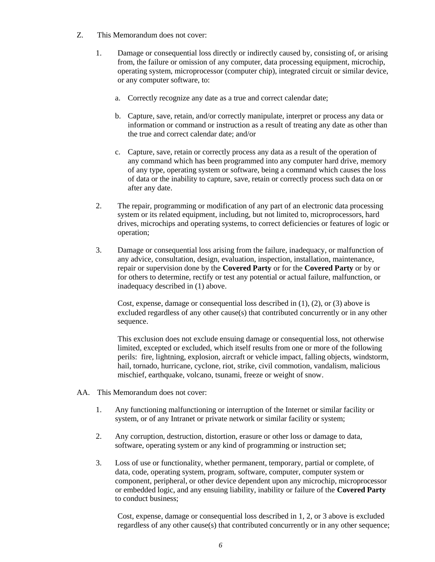- Z. This Memorandum does not cover:
	- 1. Damage or consequential loss directly or indirectly caused by, consisting of, or arising from, the failure or omission of any computer, data processing equipment, microchip, operating system, microprocessor (computer chip), integrated circuit or similar device, or any computer software, to:
		- a. Correctly recognize any date as a true and correct calendar date;
		- b. Capture, save, retain, and/or correctly manipulate, interpret or process any data or information or command or instruction as a result of treating any date as other than the true and correct calendar date; and/or
		- c. Capture, save, retain or correctly process any data as a result of the operation of any command which has been programmed into any computer hard drive, memory of any type, operating system or software, being a command which causes the loss of data or the inability to capture, save, retain or correctly process such data on or after any date.
	- 2. The repair, programming or modification of any part of an electronic data processing system or its related equipment, including, but not limited to, microprocessors, hard drives, microchips and operating systems, to correct deficiencies or features of logic or operation;
	- 3. Damage or consequential loss arising from the failure, inadequacy, or malfunction of any advice, consultation, design, evaluation, inspection, installation, maintenance, repair or supervision done by the **Covered Party** or for the **Covered Party** or by or for others to determine, rectify or test any potential or actual failure, malfunction, or inadequacy described in (1) above.

Cost, expense, damage or consequential loss described in  $(1)$ ,  $(2)$ , or  $(3)$  above is excluded regardless of any other cause(s) that contributed concurrently or in any other sequence.

This exclusion does not exclude ensuing damage or consequential loss, not otherwise limited, excepted or excluded, which itself results from one or more of the following perils: fire, lightning, explosion, aircraft or vehicle impact, falling objects, windstorm, hail, tornado, hurricane, cyclone, riot, strike, civil commotion, vandalism, malicious mischief, earthquake, volcano, tsunami, freeze or weight of snow.

- AA. This Memorandum does not cover:
	- 1. Any functioning malfunctioning or interruption of the Internet or similar facility or system, or of any Intranet or private network or similar facility or system;
	- 2. Any corruption, destruction, distortion, erasure or other loss or damage to data, software, operating system or any kind of programming or instruction set;
	- 3. Loss of use or functionality, whether permanent, temporary, partial or complete, of data, code, operating system, program, software, computer, computer system or component, peripheral, or other device dependent upon any microchip, microprocessor or embedded logic, and any ensuing liability, inability or failure of the **Covered Party** to conduct business;

Cost, expense, damage or consequential loss described in 1, 2, or 3 above is excluded regardless of any other cause(s) that contributed concurrently or in any other sequence;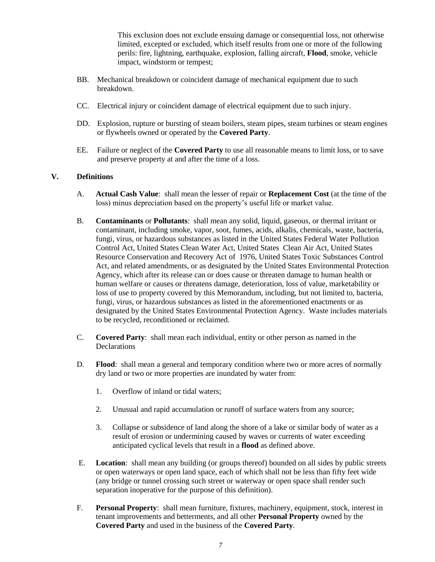This exclusion does not exclude ensuing damage or consequential loss, not otherwise limited, excepted or excluded, which itself results from one or more of the following perils: fire, lightning, earthquake, explosion, falling aircraft, **Flood**, smoke, vehicle impact, windstorm or tempest;

- BB. Mechanical breakdown or coincident damage of mechanical equipment due to such breakdown.
- CC. Electrical injury or coincident damage of electrical equipment due to such injury.
- DD. Explosion, rupture or bursting of steam boilers, steam pipes, steam turbines or steam engines or flywheels owned or operated by the **Covered Party**.
- EE. Failure or neglect of the **Covered Party** to use all reasonable means to limit loss, or to save and preserve property at and after the time of a loss.

# **V. Definitions**

- A. **Actual Cash Value**: shall mean the lesser of repair or **Replacement Cost** (at the time of the loss) minus depreciation based on the property's useful life or market value.
- B. **Contaminants** or **Pollutants**: shall mean any solid, liquid, gaseous, or thermal irritant or contaminant, including smoke, vapor, soot, fumes, acids, alkalis, chemicals, waste, bacteria, fungi, virus, or hazardous substances as listed in the United States Federal Water Pollution Control Act, United States Clean Water Act, United States Clean Air Act, United States Resource Conservation and Recovery Act of 1976, United States Toxic Substances Control Act, and related amendments, or as designated by the United States Environmental Protection Agency, which after its release can or does cause or threaten damage to human health or human welfare or causes or threatens damage, deterioration, loss of value, marketability or loss of use to property covered by this Memorandum, including, but not limited to, bacteria, fungi, virus, or hazardous substances as listed in the aforementioned enactments or as designated by the United States Environmental Protection Agency. Waste includes materials to be recycled, reconditioned or reclaimed.
- C. **Covered Party**: shall mean each individual, entity or other person as named in the Declarations
- D. **Flood**: shall mean a general and temporary condition where two or more acres of normally dry land or two or more properties are inundated by water from:
	- 1. Overflow of inland or tidal waters;
	- 2. Unusual and rapid accumulation or runoff of surface waters from any source;
	- 3. Collapse or subsidence of land along the shore of a lake or similar body of water as a result of erosion or undermining caused by waves or currents of water exceeding anticipated cyclical levels that result in a **flood** as defined above.
- E. **Location**: shall mean any building (or groups thereof) bounded on all sides by public streets or open waterways or open land space, each of which shall not be less than fifty feet wide (any bridge or tunnel crossing such street or waterway or open space shall render such separation inoperative for the purpose of this definition).
- F. **Personal Property**: shall mean furniture, fixtures, machinery, equipment, stock, interest in tenant improvements and betterments, and all other **Personal Property** owned by the **Covered Party** and used in the business of the **Covered Party**.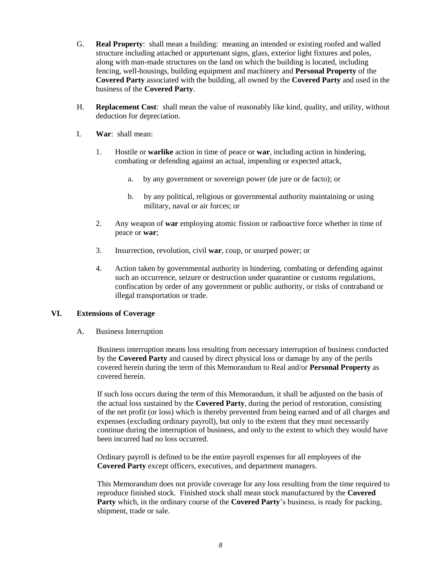- G. **Real Property**: shall mean a building: meaning an intended or existing roofed and walled structure including attached or appurtenant signs, glass, exterior light fixtures and poles, along with man-made structures on the land on which the building is located, including fencing, well-housings, building equipment and machinery and **Personal Property** of the **Covered Party** associated with the building, all owned by the **Covered Party** and used in the business of the **Covered Party**.
- H. **Replacement Cost**: shall mean the value of reasonably like kind, quality, and utility, without deduction for depreciation.
- I. **War**: shall mean:
	- 1. Hostile or **warlike** action in time of peace or **war**, including action in hindering, combating or defending against an actual, impending or expected attack,
		- a. by any government or sovereign power (de jure or de facto); or
		- b. by any political, religious or governmental authority maintaining or using military, naval or air forces; or
	- 2. Any weapon of **war** employing atomic fission or radioactive force whether in time of peace or **war**;
	- 3. Insurrection, revolution, civil **war**, coup, or usurped power; or
	- 4. Action taken by governmental authority in hindering, combating or defending against such an occurrence, seizure or destruction under quarantine or customs regulations, confiscation by order of any government or public authority, or risks of contraband or illegal transportation or trade.

#### **VI. Extensions of Coverage**

A. Business Interruption

Business interruption means loss resulting from necessary interruption of business conducted by the **Covered Party** and caused by direct physical loss or damage by any of the perils covered herein during the term of this Memorandum to Real and/or **Personal Property** as covered herein.

If such loss occurs during the term of this Memorandum, it shall be adjusted on the basis of the actual loss sustained by the **Covered Party**, during the period of restoration, consisting of the net profit (or loss) which is thereby prevented from being earned and of all charges and expenses (excluding ordinary payroll), but only to the extent that they must necessarily continue during the interruption of business, and only to the extent to which they would have been incurred had no loss occurred.

Ordinary payroll is defined to be the entire payroll expenses for all employees of the **Covered Party** except officers, executives, and department managers.

This Memorandum does not provide coverage for any loss resulting from the time required to reproduce finished stock. Finished stock shall mean stock manufactured by the **Covered Party** which, in the ordinary course of the **Covered Party**'s business, is ready for packing, shipment, trade or sale.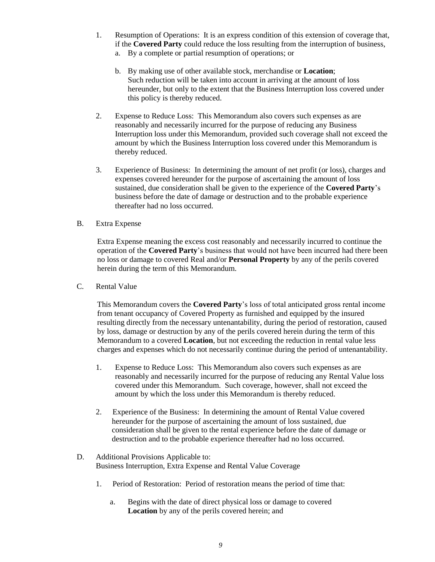- 1. Resumption of Operations: It is an express condition of this extension of coverage that, if the **Covered Party** could reduce the loss resulting from the interruption of business,
	- a. By a complete or partial resumption of operations; or
	- b. By making use of other available stock, merchandise or **Location**; Such reduction will be taken into account in arriving at the amount of loss hereunder, but only to the extent that the Business Interruption loss covered under this policy is thereby reduced.
- 2. Expense to Reduce Loss: This Memorandum also covers such expenses as are reasonably and necessarily incurred for the purpose of reducing any Business Interruption loss under this Memorandum, provided such coverage shall not exceed the amount by which the Business Interruption loss covered under this Memorandum is thereby reduced.
- 3. Experience of Business: In determining the amount of net profit (or loss), charges and expenses covered hereunder for the purpose of ascertaining the amount of loss sustained, due consideration shall be given to the experience of the **Covered Party**'s business before the date of damage or destruction and to the probable experience thereafter had no loss occurred.
- B. Extra Expense

Extra Expense meaning the excess cost reasonably and necessarily incurred to continue the operation of the **Covered Party**'s business that would not have been incurred had there been no loss or damage to covered Real and/or **Personal Property** by any of the perils covered herein during the term of this Memorandum.

C. Rental Value

This Memorandum covers the **Covered Party**'s loss of total anticipated gross rental income from tenant occupancy of Covered Property as furnished and equipped by the insured resulting directly from the necessary untenantability, during the period of restoration, caused by loss, damage or destruction by any of the perils covered herein during the term of this Memorandum to a covered **Location**, but not exceeding the reduction in rental value less charges and expenses which do not necessarily continue during the period of untenantability.

- 1. Expense to Reduce Loss: This Memorandum also covers such expenses as are reasonably and necessarily incurred for the purpose of reducing any Rental Value loss covered under this Memorandum. Such coverage, however, shall not exceed the amount by which the loss under this Memorandum is thereby reduced.
- 2. Experience of the Business: In determining the amount of Rental Value covered hereunder for the purpose of ascertaining the amount of loss sustained, due consideration shall be given to the rental experience before the date of damage or destruction and to the probable experience thereafter had no loss occurred.
- D. Additional Provisions Applicable to: Business Interruption, Extra Expense and Rental Value Coverage
	- 1. Period of Restoration: Period of restoration means the period of time that:
		- a. Begins with the date of direct physical loss or damage to covered **Location** by any of the perils covered herein; and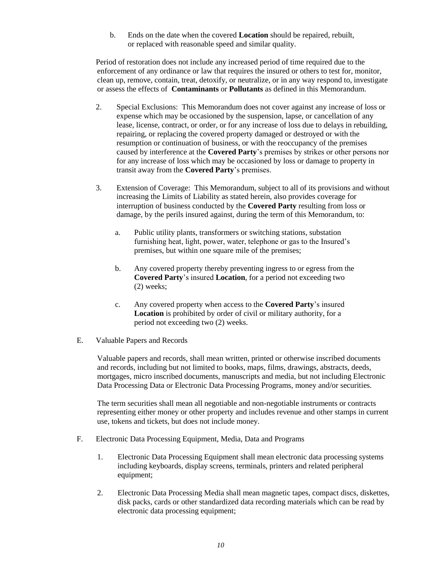b. Ends on the date when the covered **Location** should be repaired, rebuilt, or replaced with reasonable speed and similar quality.

Period of restoration does not include any increased period of time required due to the enforcement of any ordinance or law that requires the insured or others to test for, monitor, clean up, remove, contain, treat, detoxify, or neutralize, or in any way respond to, investigate or assess the effects of **Contaminants** or **Pollutants** as defined in this Memorandum.

- 2. Special Exclusions: This Memorandum does not cover against any increase of loss or expense which may be occasioned by the suspension, lapse, or cancellation of any lease, license, contract, or order, or for any increase of loss due to delays in rebuilding, repairing, or replacing the covered property damaged or destroyed or with the resumption or continuation of business, or with the reoccupancy of the premises caused by interference at the **Covered Party**'s premises by strikes or other persons nor for any increase of loss which may be occasioned by loss or damage to property in transit away from the **Covered Party**'s premises.
- 3. Extension of Coverage: This Memorandum, subject to all of its provisions and without increasing the Limits of Liability as stated herein, also provides coverage for interruption of business conducted by the **Covered Party** resulting from loss or damage, by the perils insured against, during the term of this Memorandum, to:
	- a. Public utility plants, transformers or switching stations, substation furnishing heat, light, power, water, telephone or gas to the Insured's premises, but within one square mile of the premises;
	- b. Any covered property thereby preventing ingress to or egress from the **Covered Party**'s insured **Location**, for a period not exceeding two (2) weeks;
	- c. Any covered property when access to the **Covered Party**'s insured **Location** is prohibited by order of civil or military authority, for a period not exceeding two (2) weeks.
- E. Valuable Papers and Records

Valuable papers and records, shall mean written, printed or otherwise inscribed documents and records, including but not limited to books, maps, films, drawings, abstracts, deeds, mortgages, micro inscribed documents, manuscripts and media, but not including Electronic Data Processing Data or Electronic Data Processing Programs, money and/or securities.

The term securities shall mean all negotiable and non-negotiable instruments or contracts representing either money or other property and includes revenue and other stamps in current use, tokens and tickets, but does not include money.

- F. Electronic Data Processing Equipment, Media, Data and Programs
	- 1. Electronic Data Processing Equipment shall mean electronic data processing systems including keyboards, display screens, terminals, printers and related peripheral equipment;
	- 2. Electronic Data Processing Media shall mean magnetic tapes, compact discs, diskettes, disk packs, cards or other standardized data recording materials which can be read by electronic data processing equipment;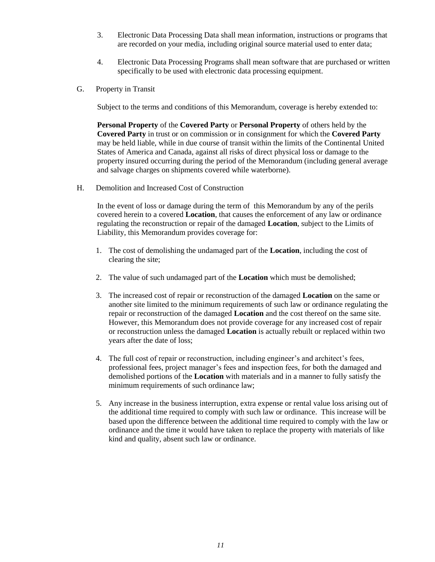- 3. Electronic Data Processing Data shall mean information, instructions or programs that are recorded on your media, including original source material used to enter data;
- 4. Electronic Data Processing Programs shall mean software that are purchased or written specifically to be used with electronic data processing equipment.
- G. Property in Transit

Subject to the terms and conditions of this Memorandum, coverage is hereby extended to:

**Personal Property** of the **Covered Party** or **Personal Property** of others held by the **Covered Party** in trust or on commission or in consignment for which the **Covered Party** may be held liable, while in due course of transit within the limits of the Continental United States of America and Canada, against all risks of direct physical loss or damage to the property insured occurring during the period of the Memorandum (including general average and salvage charges on shipments covered while waterborne).

H. Demolition and Increased Cost of Construction

In the event of loss or damage during the term of this Memorandum by any of the perils covered herein to a covered **Location**, that causes the enforcement of any law or ordinance regulating the reconstruction or repair of the damaged **Location**, subject to the Limits of Liability, this Memorandum provides coverage for:

- 1. The cost of demolishing the undamaged part of the **Location**, including the cost of clearing the site;
- 2. The value of such undamaged part of the **Location** which must be demolished;
- 3. The increased cost of repair or reconstruction of the damaged **Location** on the same or another site limited to the minimum requirements of such law or ordinance regulating the repair or reconstruction of the damaged **Location** and the cost thereof on the same site. However, this Memorandum does not provide coverage for any increased cost of repair or reconstruction unless the damaged **Location** is actually rebuilt or replaced within two years after the date of loss;
- 4. The full cost of repair or reconstruction, including engineer's and architect's fees, professional fees, project manager's fees and inspection fees, for both the damaged and demolished portions of the **Location** with materials and in a manner to fully satisfy the minimum requirements of such ordinance law;
- 5. Any increase in the business interruption, extra expense or rental value loss arising out of the additional time required to comply with such law or ordinance. This increase will be based upon the difference between the additional time required to comply with the law or ordinance and the time it would have taken to replace the property with materials of like kind and quality, absent such law or ordinance.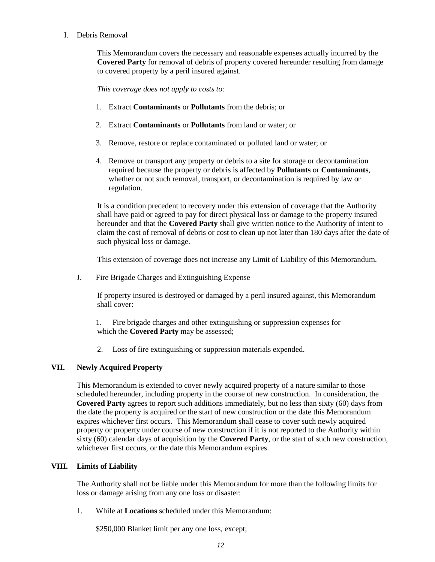# I. Debris Removal

This Memorandum covers the necessary and reasonable expenses actually incurred by the **Covered Party** for removal of debris of property covered hereunder resulting from damage to covered property by a peril insured against.

*This coverage does not apply to costs to:*

- 1. Extract **Contaminants** or **Pollutants** from the debris; or
- 2. Extract **Contaminants** or **Pollutants** from land or water; or
- 3. Remove, restore or replace contaminated or polluted land or water; or
- 4. Remove or transport any property or debris to a site for storage or decontamination required because the property or debris is affected by **Pollutants** or **Contaminants**, whether or not such removal, transport, or decontamination is required by law or regulation.

It is a condition precedent to recovery under this extension of coverage that the Authority shall have paid or agreed to pay for direct physical loss or damage to the property insured hereunder and that the **Covered Party** shall give written notice to the Authority of intent to claim the cost of removal of debris or cost to clean up not later than 180 days after the date of such physical loss or damage.

This extension of coverage does not increase any Limit of Liability of this Memorandum.

J. Fire Brigade Charges and Extinguishing Expense

If property insured is destroyed or damaged by a peril insured against, this Memorandum shall cover:

1. Fire brigade charges and other extinguishing or suppression expenses for which the **Covered Party** may be assessed;

2. Loss of fire extinguishing or suppression materials expended.

# **VII. Newly Acquired Property**

This Memorandum is extended to cover newly acquired property of a nature similar to those scheduled hereunder, including property in the course of new construction. In consideration, the **Covered Party** agrees to report such additions immediately, but no less than sixty (60) days from the date the property is acquired or the start of new construction or the date this Memorandum expires whichever first occurs. This Memorandum shall cease to cover such newly acquired property or property under course of new construction if it is not reported to the Authority within sixty (60) calendar days of acquisition by the **Covered Party**, or the start of such new construction, whichever first occurs, or the date this Memorandum expires.

# **VIII. Limits of Liability**

The Authority shall not be liable under this Memorandum for more than the following limits for loss or damage arising from any one loss or disaster:

1. While at **Locations** scheduled under this Memorandum:

\$250,000 Blanket limit per any one loss, except;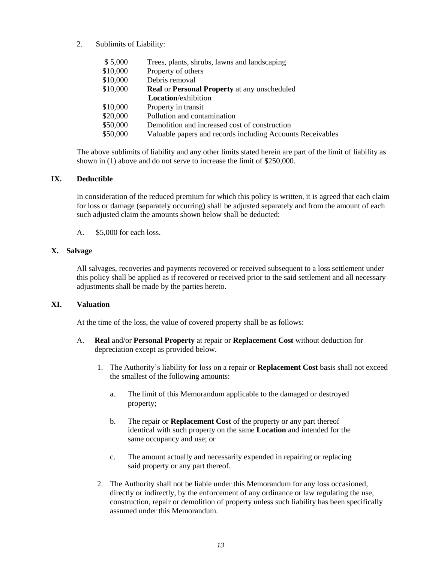2. Sublimits of Liability:

| \$5,000  | Trees, plants, shrubs, lawns and landscaping               |
|----------|------------------------------------------------------------|
| \$10,000 | Property of others                                         |
| \$10,000 | Debris removal                                             |
| \$10,000 | <b>Real or Personal Property at any unscheduled</b>        |
|          | <b>Location</b> /exhibition                                |
| \$10,000 | Property in transit                                        |
| \$20,000 | Pollution and contamination                                |
| \$50,000 | Demolition and increased cost of construction              |
| \$50,000 | Valuable papers and records including Accounts Receivables |
|          |                                                            |

The above sublimits of liability and any other limits stated herein are part of the limit of liability as shown in (1) above and do not serve to increase the limit of \$250,000.

# **IX. Deductible**

In consideration of the reduced premium for which this policy is written, it is agreed that each claim for loss or damage (separately occurring) shall be adjusted separately and from the amount of each such adjusted claim the amounts shown below shall be deducted:

A. \$5,000 for each loss.

# **X. Salvage**

All salvages, recoveries and payments recovered or received subsequent to a loss settlement under this policy shall be applied as if recovered or received prior to the said settlement and all necessary adjustments shall be made by the parties hereto.

# **XI. Valuation**

At the time of the loss, the value of covered property shall be as follows:

- A. **Real** and/or **Personal Property** at repair or **Replacement Cost** without deduction for depreciation except as provided below.
	- 1. The Authority's liability for loss on a repair or **Replacement Cost** basis shall not exceed the smallest of the following amounts:
		- a. The limit of this Memorandum applicable to the damaged or destroyed property;
		- b. The repair or **Replacement Cost** of the property or any part thereof identical with such property on the same **Location** and intended for the same occupancy and use; or
		- c. The amount actually and necessarily expended in repairing or replacing said property or any part thereof.
	- 2. The Authority shall not be liable under this Memorandum for any loss occasioned, directly or indirectly, by the enforcement of any ordinance or law regulating the use, construction, repair or demolition of property unless such liability has been specifically assumed under this Memorandum.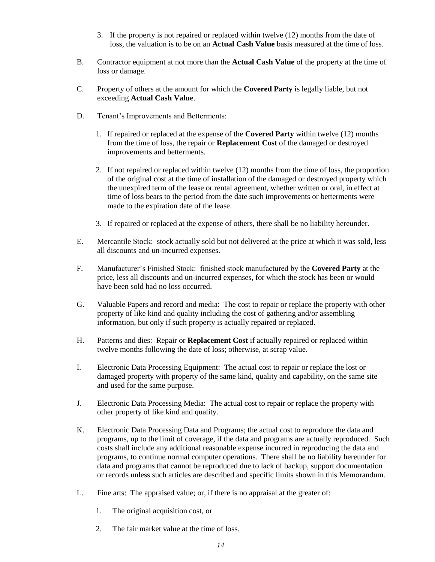- 3. If the property is not repaired or replaced within twelve (12) months from the date of loss, the valuation is to be on an **Actual Cash Value** basis measured at the time of loss.
- B. Contractor equipment at not more than the **Actual Cash Value** of the property at the time of loss or damage.
- C. Property of others at the amount for which the **Covered Party** is legally liable, but not exceeding **Actual Cash Value**.
- D. Tenant's Improvements and Betterments:
	- 1. If repaired or replaced at the expense of the **Covered Party** within twelve (12) months from the time of loss, the repair or **Replacement Cost** of the damaged or destroyed improvements and betterments.
	- 2. If not repaired or replaced within twelve (12) months from the time of loss, the proportion of the original cost at the time of installation of the damaged or destroyed property which the unexpired term of the lease or rental agreement, whether written or oral, in effect at time of loss bears to the period from the date such improvements or betterments were made to the expiration date of the lease.
	- 3. If repaired or replaced at the expense of others, there shall be no liability hereunder.
- E. Mercantile Stock: stock actually sold but not delivered at the price at which it was sold, less all discounts and un-incurred expenses.
- F. Manufacturer's Finished Stock: finished stock manufactured by the **Covered Party** at the price, less all discounts and un-incurred expenses, for which the stock has been or would have been sold had no loss occurred.
- G. Valuable Papers and record and media: The cost to repair or replace the property with other property of like kind and quality including the cost of gathering and/or assembling information, but only if such property is actually repaired or replaced.
- H. Patterns and dies: Repair or **Replacement Cost** if actually repaired or replaced within twelve months following the date of loss; otherwise, at scrap value.
- I. Electronic Data Processing Equipment: The actual cost to repair or replace the lost or damaged property with property of the same kind, quality and capability, on the same site and used for the same purpose.
- J. Electronic Data Processing Media: The actual cost to repair or replace the property with other property of like kind and quality.
- K. Electronic Data Processing Data and Programs; the actual cost to reproduce the data and programs, up to the limit of coverage, if the data and programs are actually reproduced. Such costs shall include any additional reasonable expense incurred in reproducing the data and programs, to continue normal computer operations. There shall be no liability hereunder for data and programs that cannot be reproduced due to lack of backup, support documentation or records unless such articles are described and specific limits shown in this Memorandum.
- L. Fine arts: The appraised value; or, if there is no appraisal at the greater of:
	- 1. The original acquisition cost, or
	- 2. The fair market value at the time of loss.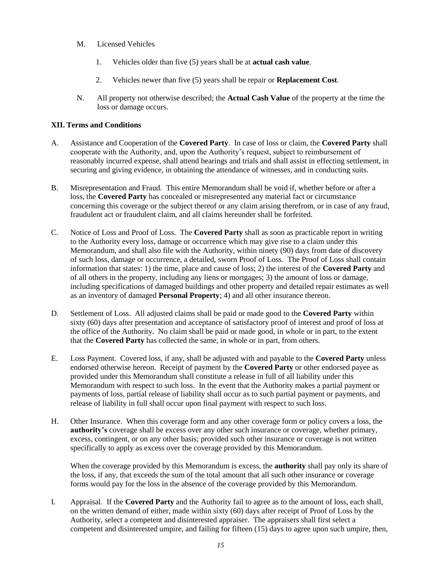- M. Licensed Vehicles
	- 1. Vehicles older than five (5) years shall be at **actual cash value**.
	- 2. Vehicles newer than five (5) years shall be repair or **Replacement Cost**.
- N. All property not otherwise described; the **Actual Cash Value** of the property at the time the loss or damage occurs.

# **XII. Terms and Conditions**

- A. Assistance and Cooperation of the **Covered Party**. In case of loss or claim, the **Covered Party** shall cooperate with the Authority, and, upon the Authority's request, subject to reimbursement of reasonably incurred expense, shall attend hearings and trials and shall assist in effecting settlement, in securing and giving evidence, in obtaining the attendance of witnesses, and in conducting suits.
- B. Misrepresentation and Fraud. This entire Memorandum shall be void if, whether before or after a loss, the **Covered Party** has concealed or misrepresented any material fact or circumstance concerning this coverage or the subject thereof or any claim arising therefrom, or in case of any fraud, fraudulent act or fraudulent claim, and all claims hereunder shall be forfeited.
- C. Notice of Loss and Proof of Loss. The **Covered Party** shall as soon as practicable report in writing to the Authority every loss, damage or occurrence which may give rise to a claim under this Memorandum, and shall also file with the Authority, within ninety (90) days from date of discovery of such loss, damage or occurrence, a detailed, sworn Proof of Loss. The Proof of Loss shall contain information that states: 1) the time, place and cause of loss; 2) the interest of the **Covered Party** and of all others in the property, including any liens or mortgages; 3) the amount of loss or damage, including specifications of damaged buildings and other property and detailed repair estimates as well as an inventory of damaged **Personal Property**; 4) and all other insurance thereon.
- D. Settlement of Loss. All adjusted claims shall be paid or made good to the **Covered Party** within sixty (60) days after presentation and acceptance of satisfactory proof of interest and proof of loss at the office of the Authority. No claim shall be paid or made good, in whole or in part, to the extent that the **Covered Party** has collected the same, in whole or in part, from others.
- E. Loss Payment. Covered loss, if any, shall be adjusted with and payable to the **Covered Party** unless endorsed otherwise hereon. Receipt of payment by the **Covered Party** or other endorsed payee as provided under this Memorandum shall constitute a release in full of all liability under this Memorandum with respect to such loss. In the event that the Authority makes a partial payment or payments of loss, partial release of liability shall occur as to such partial payment or payments, and release of liability in full shall occur upon final payment with respect to such loss.
- H. Other Insurance. When this coverage form and any other coverage form or policy covers a loss, the **authority's** coverage shall be excess over any other such insurance or coverage, whether primary, excess, contingent, or on any other basis; provided such other insurance or coverage is not written specifically to apply as excess over the coverage provided by this Memorandum.

When the coverage provided by this Memorandum is excess, the **authority** shall pay only its share of the loss, if any, that exceeds the sum of the total amount that all such other insurance or coverage forms would pay for the loss in the absence of the coverage provided by this Memorandum.

I. Appraisal. If the **Covered Party** and the Authority fail to agree as to the amount of loss, each shall, on the written demand of either, made within sixty (60) days after receipt of Proof of Loss by the Authority, select a competent and disinterested appraiser. The appraisers shall first select a competent and disinterested umpire, and failing for fifteen (15) days to agree upon such umpire, then,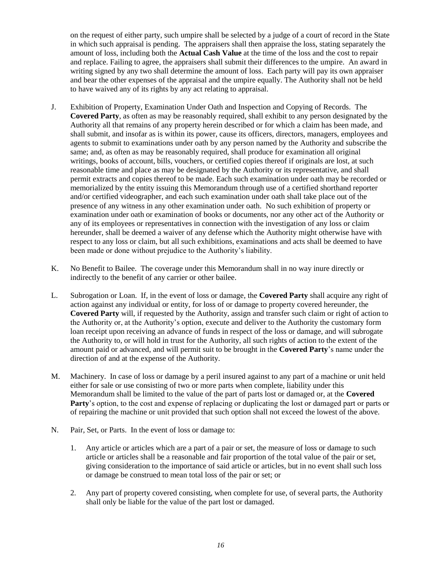on the request of either party, such umpire shall be selected by a judge of a court of record in the State in which such appraisal is pending. The appraisers shall then appraise the loss, stating separately the amount of loss, including both the **Actual Cash Value** at the time of the loss and the cost to repair and replace. Failing to agree, the appraisers shall submit their differences to the umpire. An award in writing signed by any two shall determine the amount of loss. Each party will pay its own appraiser and bear the other expenses of the appraisal and the umpire equally. The Authority shall not be held to have waived any of its rights by any act relating to appraisal.

- J. Exhibition of Property, Examination Under Oath and Inspection and Copying of Records. The **Covered Party**, as often as may be reasonably required, shall exhibit to any person designated by the Authority all that remains of any property herein described or for which a claim has been made, and shall submit, and insofar as is within its power, cause its officers, directors, managers, employees and agents to submit to examinations under oath by any person named by the Authority and subscribe the same; and, as often as may be reasonably required, shall produce for examination all original writings, books of account, bills, vouchers, or certified copies thereof if originals are lost, at such reasonable time and place as may be designated by the Authority or its representative, and shall permit extracts and copies thereof to be made. Each such examination under oath may be recorded or memorialized by the entity issuing this Memorandum through use of a certified shorthand reporter and/or certified videographer, and each such examination under oath shall take place out of the presence of any witness in any other examination under oath. No such exhibition of property or examination under oath or examination of books or documents, nor any other act of the Authority or any of its employees or representatives in connection with the investigation of any loss or claim hereunder, shall be deemed a waiver of any defense which the Authority might otherwise have with respect to any loss or claim, but all such exhibitions, examinations and acts shall be deemed to have been made or done without prejudice to the Authority's liability.
- K. No Benefit to Bailee. The coverage under this Memorandum shall in no way inure directly or indirectly to the benefit of any carrier or other bailee.
- L. Subrogation or Loan. If, in the event of loss or damage, the **Covered Party** shall acquire any right of action against any individual or entity, for loss of or damage to property covered hereunder, the **Covered Party** will, if requested by the Authority, assign and transfer such claim or right of action to the Authority or, at the Authority's option, execute and deliver to the Authority the customary form loan receipt upon receiving an advance of funds in respect of the loss or damage, and will subrogate the Authority to, or will hold in trust for the Authority, all such rights of action to the extent of the amount paid or advanced, and will permit suit to be brought in the **Covered Party**'s name under the direction of and at the expense of the Authority.
- M. Machinery. In case of loss or damage by a peril insured against to any part of a machine or unit held either for sale or use consisting of two or more parts when complete, liability under this Memorandum shall be limited to the value of the part of parts lost or damaged or, at the **Covered Party**'s option, to the cost and expense of replacing or duplicating the lost or damaged part or parts or of repairing the machine or unit provided that such option shall not exceed the lowest of the above.
- N. Pair, Set, or Parts. In the event of loss or damage to:
	- 1. Any article or articles which are a part of a pair or set, the measure of loss or damage to such article or articles shall be a reasonable and fair proportion of the total value of the pair or set, giving consideration to the importance of said article or articles, but in no event shall such loss or damage be construed to mean total loss of the pair or set; or
	- 2. Any part of property covered consisting, when complete for use, of several parts, the Authority shall only be liable for the value of the part lost or damaged.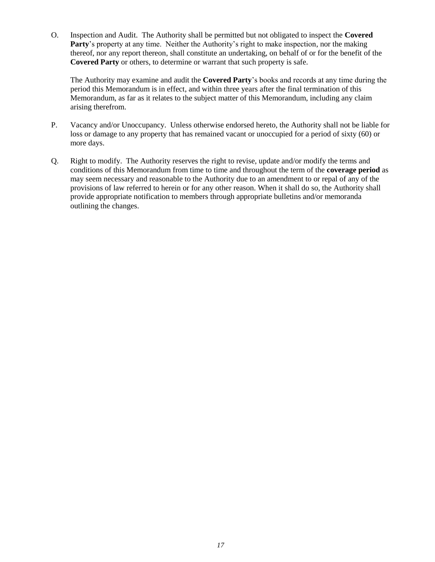O. Inspection and Audit. The Authority shall be permitted but not obligated to inspect the **Covered Party**'s property at any time. Neither the Authority's right to make inspection, nor the making thereof, nor any report thereon, shall constitute an undertaking, on behalf of or for the benefit of the **Covered Party** or others, to determine or warrant that such property is safe.

The Authority may examine and audit the **Covered Party**'s books and records at any time during the period this Memorandum is in effect, and within three years after the final termination of this Memorandum, as far as it relates to the subject matter of this Memorandum, including any claim arising therefrom.

- P. Vacancy and/or Unoccupancy. Unless otherwise endorsed hereto, the Authority shall not be liable for loss or damage to any property that has remained vacant or unoccupied for a period of sixty (60) or more days.
- Q. Right to modify. The Authority reserves the right to revise, update and/or modify the terms and conditions of this Memorandum from time to time and throughout the term of the **coverage period** as may seem necessary and reasonable to the Authority due to an amendment to or repal of any of the provisions of law referred to herein or for any other reason. When it shall do so, the Authority shall provide appropriate notification to members through appropriate bulletins and/or memoranda outlining the changes.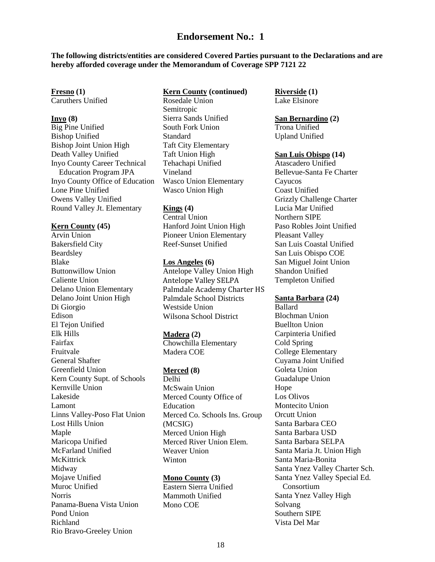# **Endorsement No.: 1**

**The following districts/entities are considered Covered Parties pursuant to the Declarations and are hereby afforded coverage under the Memorandum of Coverage SPP 7121 22**

# **Fresno (1)**

Caruthers Unified

#### **Inyo (8)**

Big Pine Unified Bishop Unified Bishop Joint Union High Death Valley Unified Inyo County Career Technical Education Program JPA Inyo County Office of Education Lone Pine Unified Owens Valley Unified Round Valley Jt. Elementary

#### **Kern County (45)**

Arvin Union Bakersfield City Beardsley Blake Buttonwillow Union Caliente Union Delano Union Elementary Delano Joint Union High Di Giorgio Edison El Tejon Unified Elk Hills Fairfax Fruitvale General Shafter Greenfield Union Kern County Supt. of Schools Kernville Union Lakeside Lamont Linns Valley-Poso Flat Union Lost Hills Union Maple Maricopa Unified McFarland Unified **McKittrick** Midway Mojave Unified Muroc Unified **Norris** Panama-Buena Vista Union Pond Union Richland Rio Bravo-Greeley Union

# **Kern County (continued)**

Rosedale Union Semitropic Sierra Sands Unified South Fork Union Standard Taft City Elementary Taft Union High Tehachapi Unified Vineland Wasco Union Elementary Wasco Union High

# **Kings (4)**

Central Union Hanford Joint Union High Pioneer Union Elementary Reef-Sunset Unified

# **Los Angeles (6)** Antelope Valley Union High Antelope Valley SELPA Palmdale Academy Charter HS Palmdale School Districts Westside Union Wilsona School District

#### **Madera (2)**

Chowchilla Elementary Madera COE

## **Merced (8)**

Delhi McSwain Union Merced County Office of Education Merced Co. Schools Ins. Group (MCSIG) Merced Union High Merced River Union Elem. Weaver Union Winton

#### **Mono County (3)**

Eastern Sierra Unified Mammoth Unified Mono COE

**Riverside (1)** Lake Elsinore

# **San Bernardino (2)** Trona Unified Upland Unified

#### **San Luis Obispo (14)**

Atascadero Unified Bellevue-Santa Fe Charter Cayucos Coast Unified Grizzly Challenge Charter Lucia Mar Unified Northern SIPE Paso Robles Joint Unified Pleasant Valley San Luis Coastal Unified San Luis Obispo COE San Miguel Joint Union Shandon Unified Templeton Unified

#### **Santa Barbara (24)**

Ballard Blochman Union Buellton Union Carpinteria Unified Cold Spring College Elementary Cuyama Joint Unified Goleta Union Guadalupe Union Hope Los Olivos Montecito Union Orcutt Union Santa Barbara CEO Santa Barbara USD Santa Barbara SELPA Santa Maria Jt. Union High Santa Maria-Bonita Santa Ynez Valley Charter Sch. Santa Ynez Valley Special Ed. Consortium Santa Ynez Valley High Solvang Southern SIPE Vista Del Mar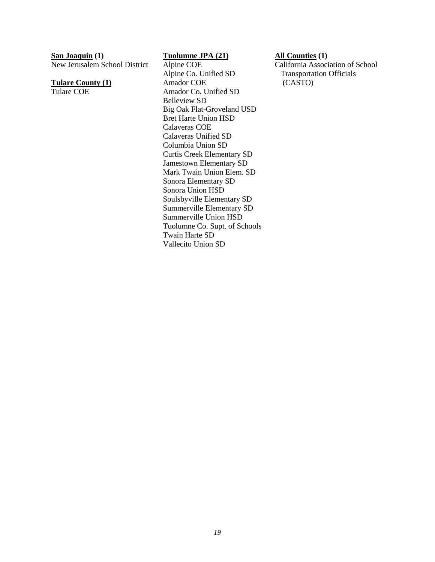**San Joaquin (1)**

New Jerusalem School District

**Tulare County (1)** Tulare COE

**Tuolumne JPA (21)**

Alpine COE Alpine Co. Unified SD Amador COE Amador Co. Unified SD Belleview SD Big Oak Flat-Groveland USD Bret Harte Union HSD Calaveras COE Calaveras Unified SD Columbia Union SD Curtis Creek Elementary SD Jamestown Elementary SD Mark Twain Union Elem. SD Sonora Elementary SD Sonora Union HSD Soulsbyville Elementary SD Summerville Elementary SD Summerville Union HSD Tuolumne Co. Supt. of Schools Twain Harte SD Vallecito Union SD

**All Counties (1)**

California Association of School Transportation Officials (CASTO)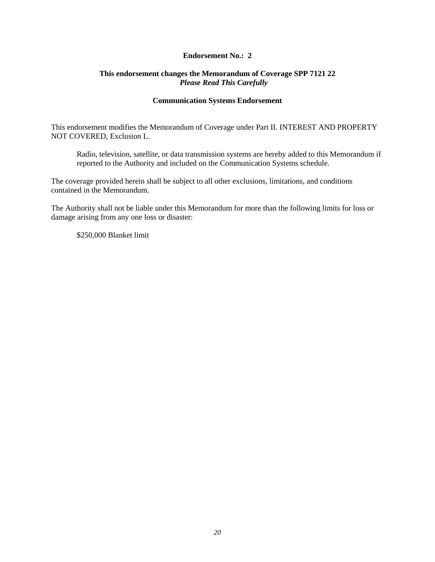# **Endorsement No.: 2**

# **This endorsement changes the Memorandum of Coverage SPP 7121 22** *Please Read This Carefully*

### **Communication Systems Endorsement**

This endorsement modifies the Memorandum of Coverage under Part II. INTEREST AND PROPERTY NOT COVERED, Exclusion L.

Radio, television, satellite, or data transmission systems are hereby added to this Memorandum if reported to the Authority and included on the Communication Systems schedule.

The coverage provided herein shall be subject to all other exclusions, limitations, and conditions contained in the Memorandum.

The Authority shall not be liable under this Memorandum for more than the following limits for loss or damage arising from any one loss or disaster:

\$250,000 Blanket limit